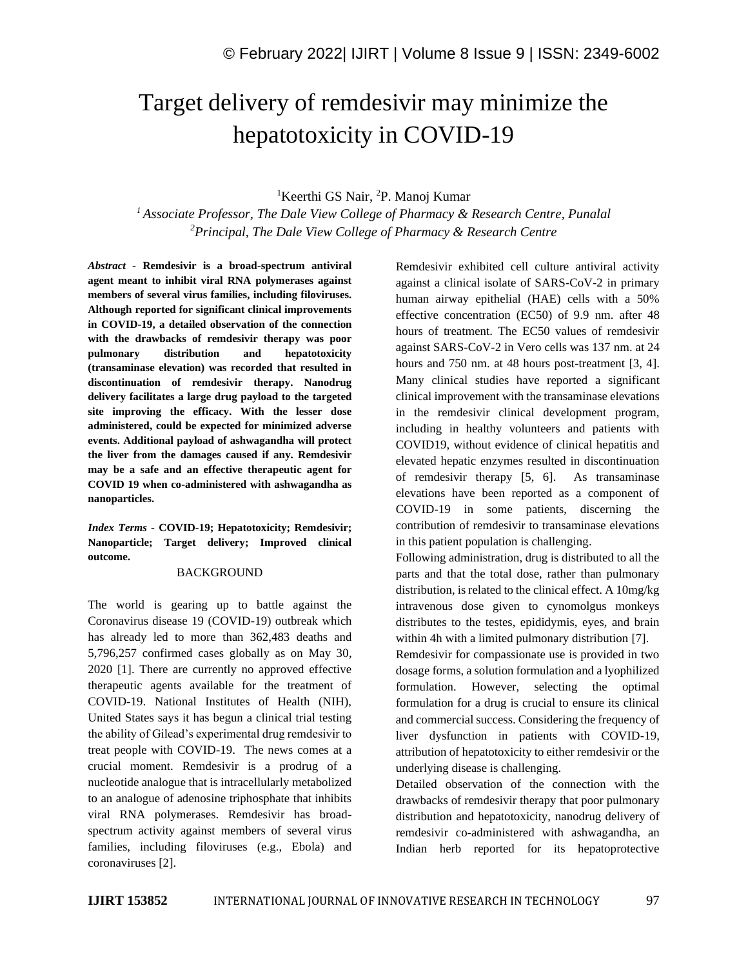# Target delivery of remdesivir may minimize the hepatotoxicity in COVID-19

# <sup>1</sup>Keerthi GS Nair, <sup>2</sup>P. Manoj Kumar

*<sup>1</sup>Associate Professor, The Dale View College of Pharmacy & Research Centre, Punalal <sup>2</sup>Principal, The Dale View College of Pharmacy & Research Centre*

*Abstract -* **Remdesivir is a broad-spectrum antiviral agent meant to inhibit viral RNA polymerases against members of several virus families, including filoviruses. Although reported for significant clinical improvements in COVID-19, a detailed observation of the connection with the drawbacks of remdesivir therapy was poor pulmonary distribution and hepatotoxicity (transaminase elevation) was recorded that resulted in discontinuation of remdesivir therapy. Nanodrug delivery facilitates a large drug payload to the targeted site improving the efficacy. With the lesser dose administered, could be expected for minimized adverse events. Additional payload of ashwagandha will protect the liver from the damages caused if any. Remdesivir may be a safe and an effective therapeutic agent for COVID 19 when co-administered with ashwagandha as nanoparticles.**

*Index Terms -* **COVID-19; Hepatotoxicity; Remdesivir; Nanoparticle; Target delivery; Improved clinical outcome.**

## BACKGROUND

The world is gearing up to battle against the Coronavirus disease 19 (COVID-19) outbreak which has already led to more than 362,483 deaths and 5,796,257 confirmed cases globally as on May 30, 2020 [1]. There are currently no approved effective therapeutic agents available for the treatment of COVID-19. National Institutes of Health (NIH), United States says it has begun a clinical trial testing the ability of Gilead's experimental drug remdesivir to treat people with COVID-19. The news comes at a crucial moment. Remdesivir is a prodrug of a nucleotide analogue that is intracellularly metabolized to an analogue of adenosine triphosphate that inhibits viral RNA polymerases. Remdesivir has broadspectrum activity against members of several virus families, including filoviruses (e.g., Ebola) and coronaviruses [2].

Remdesivir exhibited cell culture antiviral activity against a clinical isolate of SARS-CoV-2 in primary human airway epithelial (HAE) cells with a 50% effective concentration (EC50) of 9.9 nm. after 48 hours of treatment. The EC50 values of remdesivir against SARS-CoV-2 in Vero cells was 137 nm. at 24 hours and 750 nm. at 48 hours post-treatment [3, 4]. Many clinical studies have reported a significant clinical improvement with the transaminase elevations in the remdesivir clinical development program, including in healthy volunteers and patients with COVID19, without evidence of clinical hepatitis and elevated hepatic enzymes resulted in discontinuation of remdesivir therapy [5, 6]. As transaminase elevations have been reported as a component of COVID-19 in some patients, discerning the contribution of remdesivir to transaminase elevations in this patient population is challenging.

Following administration, drug is distributed to all the parts and that the total dose, rather than pulmonary distribution, is related to the clinical effect. A 10mg/kg intravenous dose given to cynomolgus monkeys distributes to the testes, epididymis, eyes, and brain within 4h with a limited pulmonary distribution [7].

Remdesivir for compassionate use is provided in two dosage forms, a solution formulation and a lyophilized formulation. However, selecting the optimal formulation for a drug is crucial to ensure its clinical and commercial success. Considering the frequency of liver dysfunction in patients with COVID-19, attribution of hepatotoxicity to either remdesivir or the underlying disease is challenging.

Detailed observation of the connection with the drawbacks of remdesivir therapy that poor pulmonary distribution and hepatotoxicity, nanodrug delivery of remdesivir co-administered with ashwagandha, an Indian herb reported for its hepatoprotective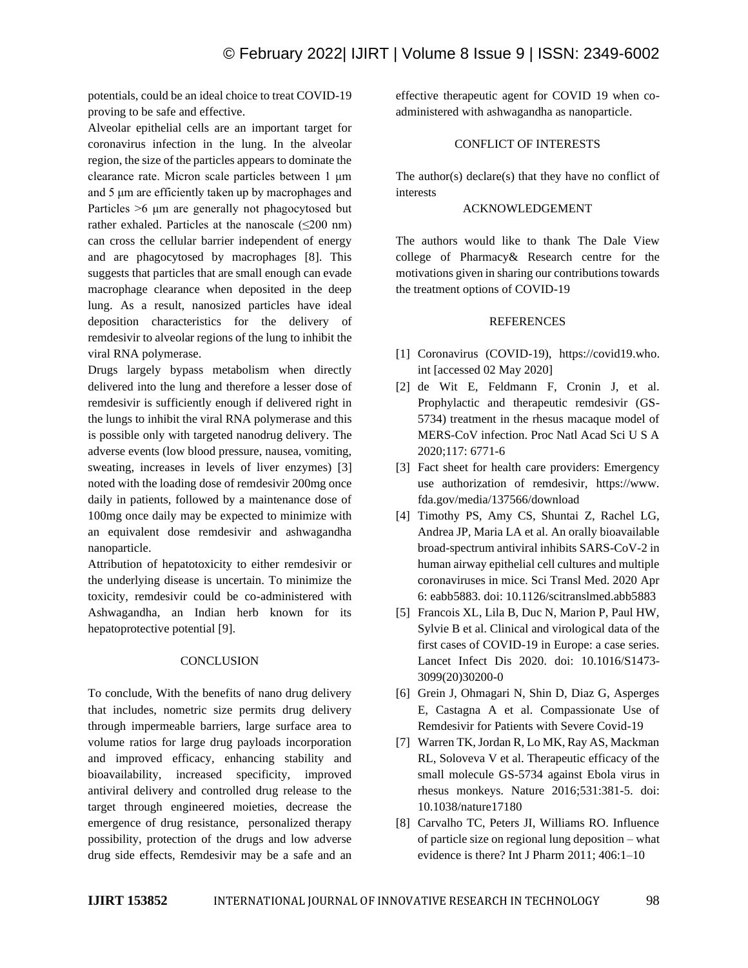potentials, could be an ideal choice to treat COVID-19 proving to be safe and effective.

Alveolar epithelial cells are an important target for coronavirus infection in the lung. In the alveolar region, the size of the particles appears to dominate the clearance rate. Micron scale particles between 1 μm and 5 μm are efficiently taken up by macrophages and Particles >6 μm are generally not phagocytosed but rather exhaled. Particles at the nanoscale  $(\leq 200 \text{ nm})$ can cross the cellular barrier independent of energy and are phagocytosed by macrophages [8]. This suggests that particles that are small enough can evade macrophage clearance when deposited in the deep lung. As a result, nanosized particles have ideal deposition characteristics for the delivery of remdesivir to alveolar regions of the lung to inhibit the viral RNA polymerase.

Drugs largely bypass metabolism when directly delivered into the lung and therefore a lesser dose of remdesivir is sufficiently enough if delivered right in the lungs to inhibit the viral RNA polymerase and this is possible only with targeted nanodrug delivery. The adverse events (low blood pressure, nausea, vomiting, sweating, increases in levels of liver enzymes) [3] noted with the loading dose of remdesivir 200mg once daily in patients, followed by a maintenance dose of 100mg once daily may be expected to minimize with an equivalent dose remdesivir and ashwagandha nanoparticle.

Attribution of hepatotoxicity to either remdesivir or the underlying disease is uncertain. To minimize the toxicity, remdesivir could be co-administered with Ashwagandha, an Indian herb known for its hepatoprotective potential [9].

#### **CONCLUSION**

To conclude, With the benefits of nano drug delivery that includes, nometric size permits drug delivery through impermeable barriers, large surface area to volume ratios for large drug payloads incorporation and improved efficacy, enhancing stability and bioavailability, increased specificity, improved antiviral delivery and controlled drug release to the target through engineered moieties, decrease the emergence of drug resistance, personalized therapy possibility, protection of the drugs and low adverse drug side effects, Remdesivir may be a safe and an effective therapeutic agent for COVID 19 when coadministered with ashwagandha as nanoparticle.

# CONFLICT OF INTERESTS

The author(s) declare(s) that they have no conflict of interests

# ACKNOWLEDGEMENT

The authors would like to thank The Dale View college of Pharmacy& Research centre for the motivations given in sharing our contributions towards the treatment options of COVID-19

### **REFERENCES**

- [1] Coronavirus (COVID-19), https://covid19.who. int [accessed 02 May 2020]
- [2] de Wit E, Feldmann F, Cronin J, et al. Prophylactic and therapeutic remdesivir (GS-5734) treatment in the rhesus macaque model of MERS-CoV infection. Proc Natl Acad Sci U S A 2020;117: 6771-6
- [3] Fact sheet for health care providers: Emergency use authorization of remdesivir, https://www. fda.gov/media/137566/download
- [4] Timothy PS, Amy CS, Shuntai Z, Rachel LG, Andrea JP, Maria LA et al. An orally bioavailable broad-spectrum antiviral inhibits SARS-CoV-2 in human airway epithelial cell cultures and multiple coronaviruses in mice. Sci Transl Med. 2020 Apr 6: eabb5883. doi: 10.1126/scitranslmed.abb5883
- [5] Francois XL, Lila B, Duc N, Marion P, Paul HW, Sylvie B et al. Clinical and virological data of the first cases of COVID-19 in Europe: a case series. Lancet Infect Dis 2020. doi: 10.1016/S1473- 3099(20)30200-0
- [6] Grein J, Ohmagari N, Shin D, Diaz G, Asperges E, Castagna A et al. Compassionate Use of Remdesivir for Patients with Severe Covid-19
- [7] Warren TK, Jordan R, Lo MK, Ray AS, Mackman RL, Soloveva V et al. Therapeutic efficacy of the small molecule GS-5734 against Ebola virus in rhesus monkeys. Nature 2016;531:381-5. doi: 10.1038/nature17180
- [8] Carvalho TC, Peters JI, Williams RO. Influence of particle size on regional lung deposition – what evidence is there? Int J Pharm 2011; 406:1–10